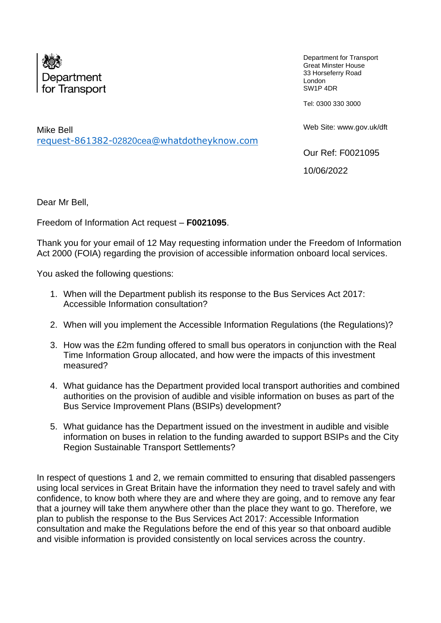

Department for Transport Great Minster House 33 Horseferry Road London SW1P 4DR

Tel: 0300 330 3000

Web Site: www.gov.uk/dft

Our Ref: F0021095

10/06/2022

Dear Mr Bell,

Mike Bell

Freedom of Information Act request – **F0021095**.

request-861382-02820cea[@whatdotheyknow.com](mailto:xxxxxxxxxxxxxxxxxxxxxxx@xxxxxxxxxxxxxx.xxx)

Thank you for your email of 12 May requesting information under the Freedom of Information Act 2000 (FOIA) regarding the provision of accessible information onboard local services.

You asked the following questions:

- 1. When will the Department publish its response to the Bus Services Act 2017: Accessible Information consultation?
- 2. When will you implement the Accessible Information Regulations (the Regulations)?
- 3. How was the £2m funding offered to small bus operators in conjunction with the Real Time Information Group allocated, and how were the impacts of this investment measured?
- 4. What guidance has the Department provided local transport authorities and combined authorities on the provision of audible and visible information on buses as part of the Bus Service Improvement Plans (BSIPs) development?
- 5. What guidance has the Department issued on the investment in audible and visible information on buses in relation to the funding awarded to support BSIPs and the City Region Sustainable Transport Settlements?

In respect of questions 1 and 2, we remain committed to ensuring that disabled passengers using local services in Great Britain have the information they need to travel safely and with confidence, to know both where they are and where they are going, and to remove any fear that a journey will take them anywhere other than the place they want to go. Therefore, we plan to publish the response to the Bus Services Act 2017: Accessible Information consultation and make the Regulations before the end of this year so that onboard audible and visible information is provided consistently on local services across the country.